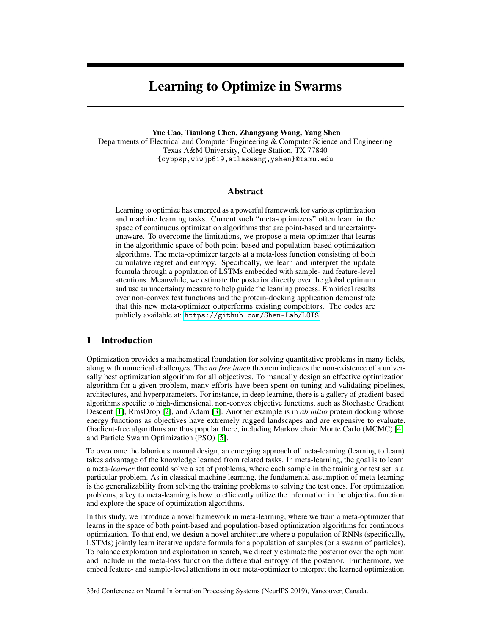# Learning to Optimize in Swarms

Yue Cao, Tianlong Chen, Zhangyang Wang, Yang Shen

Departments of Electrical and Computer Engineering & Computer Science and Engineering Texas A&M University, College Station, TX 77840 {cyppsp,wiwjp619,atlaswang,yshen}@tamu.edu

## Abstract

Learning to optimize has emerged as a powerful framework for various optimization and machine learning tasks. Current such "meta-optimizers" often learn in the space of continuous optimization algorithms that are point-based and uncertaintyunaware. To overcome the limitations, we propose a meta-optimizer that learns in the algorithmic space of both point-based and population-based optimization algorithms. The meta-optimizer targets at a meta-loss function consisting of both cumulative regret and entropy. Specifically, we learn and interpret the update formula through a population of LSTMs embedded with sample- and feature-level attentions. Meanwhile, we estimate the posterior directly over the global optimum and use an uncertainty measure to help guide the learning process. Empirical results over non-convex test functions and the protein-docking application demonstrate that this new meta-optimizer outperforms existing competitors. The codes are publicly available at: <https://github.com/Shen-Lab/LOIS>.

# 1 Introduction

Optimization provides a mathematical foundation for solving quantitative problems in many fields, along with numerical challenges. The *no free lunch* theorem indicates the non-existence of a universally best optimization algorithm for all objectives. To manually design an effective optimization algorithm for a given problem, many efforts have been spent on tuning and validating pipelines, architectures, and hyperparameters. For instance, in deep learning, there is a gallery of gradient-based algorithms specific to high-dimensional, non-convex objective functions, such as Stochastic Gradient Descent [1], RmsDrop [2], and Adam [3]. Another example is in *ab initio* protein docking whose energy functions as objectives have extremely rugged landscapes and are expensive to evaluate. Gradient-free algorithms are thus popular there, including Markov chain Monte Carlo (MCMC) [4] and Particle Swarm Optimization (PSO) [5].

To overcome the laborious manual design, an emerging approach of meta-learning (learning to learn) takes advantage of the knowledge learned from related tasks. In meta-learning, the goal is to learn a meta-*learner* that could solve a set of problems, where each sample in the training or test set is a particular problem. As in classical machine learning, the fundamental assumption of meta-learning is the generalizability from solving the training problems to solving the test ones. For optimization problems, a key to meta-learning is how to efficiently utilize the information in the objective function and explore the space of optimization algorithms.

In this study, we introduce a novel framework in meta-learning, where we train a meta-optimizer that learns in the space of both point-based and population-based optimization algorithms for continuous optimization. To that end, we design a novel architecture where a population of RNNs (specifically, LSTMs) jointly learn iterative update formula for a population of samples (or a swarm of particles). To balance exploration and exploitation in search, we directly estimate the posterior over the optimum and include in the meta-loss function the differential entropy of the posterior. Furthermore, we embed feature- and sample-level attentions in our meta-optimizer to interpret the learned optimization

33rd Conference on Neural Information Processing Systems (NeurIPS 2019), Vancouver, Canada.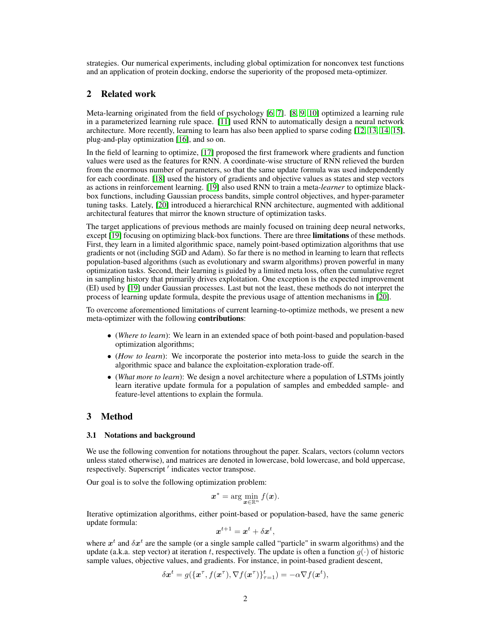strategies. Our numerical experiments, including global optimization for nonconvex test functions and an application of protein docking, endorse the superiority of the proposed meta-optimizer.

# 2 Related work

Meta-learning originated from the field of psychology [6, 7]. [8, 9, 10] optimized a learning rule in a parameterized learning rule space. [11] used RNN to automatically design a neural network architecture. More recently, learning to learn has also been applied to sparse coding [12, 13, 14, 15], plug-and-play optimization [16], and so on.

In the field of learning to optimize, [17] proposed the first framework where gradients and function values were used as the features for RNN. A coordinate-wise structure of RNN relieved the burden from the enormous number of parameters, so that the same update formula was used independently for each coordinate. [18] used the history of gradients and objective values as states and step vectors as actions in reinforcement learning. [19] also used RNN to train a meta-*learner* to optimize blackbox functions, including Gaussian process bandits, simple control objectives, and hyper-parameter tuning tasks. Lately, [20] introduced a hierarchical RNN architecture, augmented with additional architectural features that mirror the known structure of optimization tasks.

The target applications of previous methods are mainly focused on training deep neural networks, except [19] focusing on optimizing black-box functions. There are three **limitations** of these methods. First, they learn in a limited algorithmic space, namely point-based optimization algorithms that use gradients or not (including SGD and Adam). So far there is no method in learning to learn that reflects population-based algorithms (such as evolutionary and swarm algorithms) proven powerful in many optimization tasks. Second, their learning is guided by a limited meta loss, often the cumulative regret in sampling history that primarily drives exploitation. One exception is the expected improvement (EI) used by [19] under Gaussian processes. Last but not the least, these methods do not interpret the process of learning update formula, despite the previous usage of attention mechanisms in [20].

To overcome aforementioned limitations of current learning-to-optimize methods, we present a new meta-optimizer with the following contributions:

- (*Where to learn*): We learn in an extended space of both point-based and population-based optimization algorithms;
- (*How to learn*): We incorporate the posterior into meta-loss to guide the search in the algorithmic space and balance the exploitation-exploration trade-off.
- (*What more to learn*): We design a novel architecture where a population of LSTMs jointly learn iterative update formula for a population of samples and embedded sample- and feature-level attentions to explain the formula.

# 3 Method

## 3.1 Notations and background

We use the following convention for notations throughout the paper. Scalars, vectors (column vectors unless stated otherwise), and matrices are denoted in lowercase, bold lowercase, and bold uppercase, respectively. Superscript ' indicates vector transpose.

Our goal is to solve the following optimization problem:

$$
\boldsymbol{x}^* = \arg\min_{\boldsymbol{x}\in\mathbb{R}^n} f(\boldsymbol{x}).
$$

Iterative optimization algorithms, either point-based or population-based, have the same generic update formula:

$$
\boldsymbol{x}^{t+1} = \boldsymbol{x}^t + \delta \boldsymbol{x}^t,
$$

where  $x^t$  and  $\delta x^t$  are the sample (or a single sample called "particle" in swarm algorithms) and the update (a.k.a. step vector) at iteration t, respectively. The update is often a function  $g(\cdot)$  of historic sample values, objective values, and gradients. For instance, in point-based gradient descent,

$$
\delta \mathbf{x}^t = g(\{\mathbf{x}^\tau, f(\mathbf{x}^\tau), \nabla f(\mathbf{x}^\tau)\}_{\tau=1}^t) = -\alpha \nabla f(\mathbf{x}^t),
$$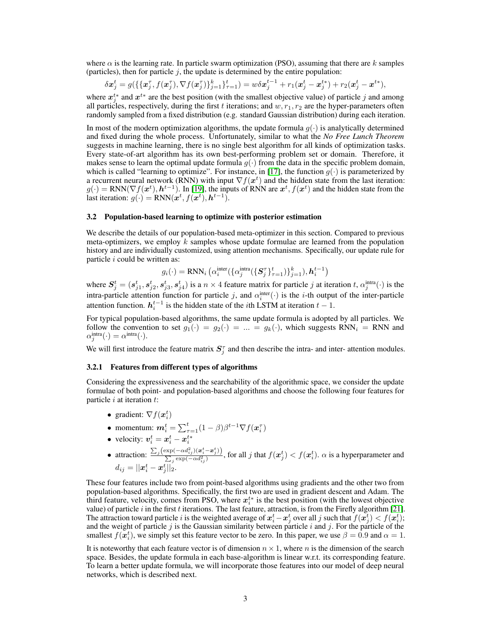where  $\alpha$  is the learning rate. In particle swarm optimization (PSO), assuming that there are k samples (particles), then for particle  $i$ , the update is determined by the entire population:

$$
\delta \mathbf{x}_j^t = g(\{\{\mathbf{x}_j^{\tau}, f(\mathbf{x}_j^{\tau}), \nabla f(\mathbf{x}_j^{\tau})\}_{j=1}^k\}_{\tau=1}^t) = w \delta \mathbf{x}_j^{t-1} + r_1(\mathbf{x}_j^t - \mathbf{x}_j^{t*}) + r_2(\mathbf{x}_j^t - \mathbf{x}^{t*}),
$$

where  $x_j^{t*}$  and  $x^{t*}$  are the best position (with the smallest objective value) of particle j and among all particles, respectively, during the first t iterations; and  $w, r_1, r_2$  are the hyper-parameters often randomly sampled from a fixed distribution (e.g. standard Gaussian distribution) during each iteration.

In most of the modern optimization algorithms, the update formula  $g(\cdot)$  is analytically determined and fixed during the whole process. Unfortunately, similar to what the *No Free Lunch Theorem* suggests in machine learning, there is no single best algorithm for all kinds of optimization tasks. Every state-of-art algorithm has its own best-performing problem set or domain. Therefore, it makes sense to learn the optimal update formula  $g(\cdot)$  from the data in the specific problem domain, which is called "learning to optimize". For instance, in [17], the function  $g(\cdot)$  is parameterized by a recurrent neural network (RNN) with input  $\nabla f(x^t)$  and the hidden state from the last iteration:  $g(\cdot) = RNN(\nabla f(\boldsymbol{x}^t), \boldsymbol{h}^{t-1})$ . In [19], the inputs of RNN are  $\boldsymbol{x}^t, f(\boldsymbol{x}^t)$  and the hidden state from the last iteration:  $g(\cdot) = RNN(\boldsymbol{x}^t, f(\boldsymbol{x}^t), \boldsymbol{h}^{t-1}).$ 

### 3.2 Population-based learning to optimize with posterior estimation

We describe the details of our population-based meta-optimizer in this section. Compared to previous meta-optimizers, we employ  $k$  samples whose update formulae are learned from the population history and are individually customized, using attention mechanisms. Specifically, our update rule for particle  $i$  could be written as:

 $g_i(\cdot) = \text{RNN}_i\left(\alpha^{\text{inter}}_i(\{\alpha^{\text{intra}}_j(\{\bm{S}^{\tau}_j\}_{\tau=1}^t)\}_{j=1}^k), \bm{h}^{t-1}_i\right)$ 

where  $S_j^t = (s_{j1}^t, s_{j2}^t, s_{j3}^t, s_{j4}^t)$  is a  $n \times 4$  feature matrix for particle j at iteration t,  $\alpha_j^{\text{intra}}(\cdot)$  is the intra-particle attention function for particle j, and  $\alpha_i^{\text{inter}}(\cdot)$  is the *i*-th output of the inter-particle attention function.  $h_i^{t-1}$  is the hidden state of the *i*th LSTM at iteration  $t - 1$ .

For typical population-based algorithms, the same update formula is adopted by all particles. We follow the convention to set  $g_1(\cdot) = g_2(\cdot) = ... = g_k(\cdot)$ , which suggests RNN<sub>i</sub> = RNN and  $\alpha_j^{\text{intra}}(\cdot) = \alpha^{\text{intra}}(\cdot).$ 

We will first introduce the feature matrix  $S_j^{\tau}$  and then describe the intra- and inter-attention modules.

#### 3.2.1 Features from different types of algorithms

Considering the expressiveness and the searchability of the algorithmic space, we consider the update formulae of both point- and population-based algorithms and choose the following four features for particle  $i$  at iteration  $t$ :

- gradient:  $\nabla f(\boldsymbol{x}_i^t)$
- momentum:  $m_i^t = \sum_{\tau=1}^t (1-\beta) \beta^{t-1} \nabla f(\boldsymbol{x}_i^{\tau})$
- velocity:  $v_i^t = x_i^t x_i^{t*}$ i
- attraction:  $\frac{\sum_{j} (\exp(-\alpha d_{ij}^2)) (\boldsymbol{x}_i^t \boldsymbol{x}_j^t)}{\sum_{j} (\exp(-\alpha d_{ij}^2))}$ ))  $\frac{\partial(\neg \alpha a_{ij})(\bm{x}_i-\bm{x}_j))}{\partial \exp(-\alpha d_{ij}^2)}$ , for all j that  $f(\bm{x}_j^t) < f(\bm{x}_i^t)$ .  $\alpha$  is a hyperparameter and  $d_{ij} = ||\boldsymbol{x}_i^t - \boldsymbol{x}_j^t||_2.$

These four features include two from point-based algorithms using gradients and the other two from population-based algorithms. Specifically, the first two are used in gradient descent and Adam. The third feature, velocity, comes from PSO, where  $x_i^{t*}$  is the best position (with the lowest objective value) of particle i in the first t iterations. The last feature, attraction, is from the Firefly algorithm [21]. The attraction toward particle  $i$  is the weighted average of  $x_i^t - x_j^t$  over all  $j$  such that  $f(x_j^t) < f(x_i^t);$ and the weight of particle j is the Gaussian similarity between particle i and j. For the particle of the smallest  $f(\mathbf{x}_i^t)$ , we simply set this feature vector to be zero. In this paper, we use  $\beta = 0.9$  and  $\alpha = 1$ .

It is noteworthy that each feature vector is of dimension  $n \times 1$ , where n is the dimension of the search space. Besides, the update formula in each base-algorithm is linear w.r.t. its corresponding feature. To learn a better update formula, we will incorporate those features into our model of deep neural networks, which is described next.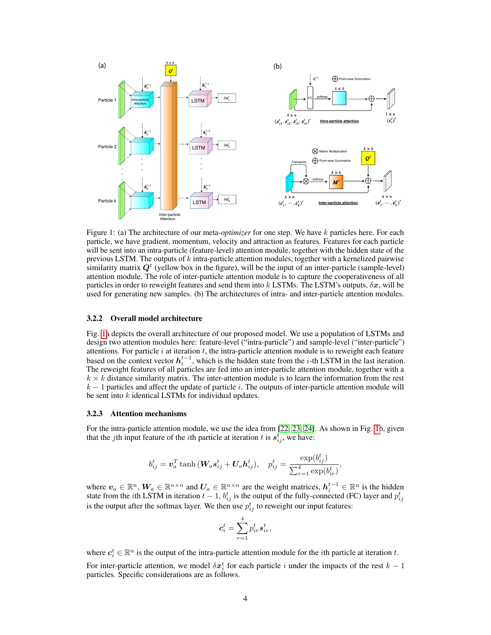

Figure 1: (a) The architecture of our meta-*optimizer* for one step. We have k particles here. For each particle, we have gradient, momentum, velocity and attraction as features. Features for each particle will be sent into an intra-particle (feature-level) attention module, together with the hidden state of the previous LSTM. The outputs of  $k$  intra-particle attention modules, together with a kernelized pairwise similarity matrix  $Q<sup>t</sup>$  (yellow box in the figure), will be the input of an inter-particle (sample-level) attention module. The role of inter-particle attention module is to capture the cooperativeness of all particles in order to reweight features and send them into k LSTMs. The LSTM's outputs,  $\delta x$ , will be used for generating new samples. (b) The architectures of intra- and inter-particle attention modules.

## 3.2.2 Overall model architecture

Fig. 1a depicts the overall architecture of our proposed model. We use a population of LSTMs and design two attention modules here: feature-level ("intra-particle") and sample-level ("inter-particle") attentions. For particle  $i$  at iteration  $t$ , the intra-particle attention module is to reweight each feature based on the context vector  $h_i^{t-1}$ , which is the hidden state from the *i*-th LSTM in the last iteration. The reweight features of all particles are fed into an inter-particle attention module, together with a  $k \times k$  distance similarity matrix. The inter-attention module is to learn the information from the rest  $k-1$  particles and affect the update of particle i. The outputs of inter-particle attention module will be sent into  $k$  identical LSTMs for individual updates.

#### 3.2.3 Attention mechanisms

For the intra-particle attention module, we use the idea from [22, 23, 24]. As shown in Fig. 1b, given that the *j*th input feature of the *i*th particle at iteration *t* is  $s_{ij}^t$ , we have:

$$
b_{ij}^t = \boldsymbol{v}_a^T \tanh{(\boldsymbol{W}_a \boldsymbol{s}_{ij}^t + \boldsymbol{U}_a \boldsymbol{h}_{ij}^t)}, \quad p_{ij}^t = \frac{\exp(b_{ij}^t)}{\sum_{r=1}^4 \exp(b_{ir}^t)},
$$

where  $v_a \in \mathbb{R}^n$ ,  $W_a \in \mathbb{R}^{n \times n}$  and  $U_a \in \mathbb{R}^{n \times n}$  are the weight matrices,  $h_i^{t-1} \in \mathbb{R}^n$  is the hidden state from the *i*th LSTM in iteration  $t-1$ ,  $b_{ij}^t$  is the output of the fully-connected (FC) layer and  $p_{ij}^t$ is the output after the softmax layer. We then use  $p_{ij}^t$  to reweight our input features:

$$
\boldsymbol{c}_i^t = \sum_{r=1}^4 p_{ir}^t \boldsymbol{s}_{ir}^t,
$$

where  $c_i^t \in \mathbb{R}^n$  is the output of the intra-particle attention module for the *i*th particle at iteration t.

For inter-particle attention, we model  $\delta x_i^t$  for each particle i under the impacts of the rest  $k-1$ particles. Specific considerations are as follows.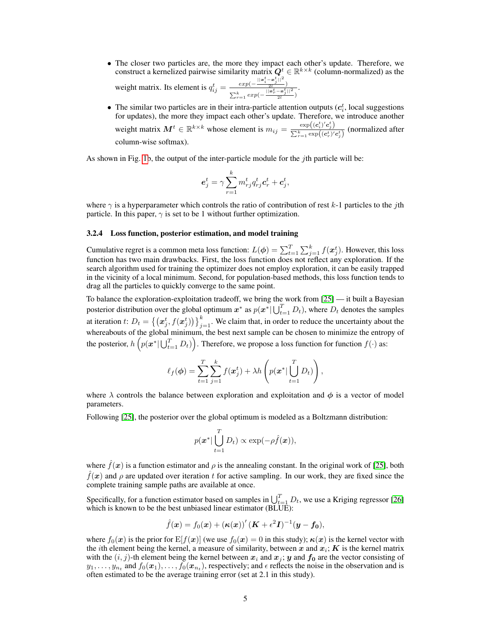- The closer two particles are, the more they impact each other's update. Therefore, we construct a kernelized pairwise similarity matrix  $Q^t \in \mathbb{R}^{k \times k}$  (column-normalized) as the weight matrix. Its element is  $q_{ij}^t = \frac{exp(-\frac{||\mathbf{a}_i^t - \mathbf{a}_j^t||^2}{2l})}{\frac{||\mathbf{a}_i^t - \mathbf{a}_j^t||^2}{l}}$  $\sum_{r=1}^k exp(-\frac{||\boldsymbol{x}_r^t - \boldsymbol{x}_j^t||^2}{2l})$  $\frac{(-x_j^t)\|^2}{2l}$ .
- The similar two particles are in their intra-particle attention outputs  $(c_i^t)$ , local suggestions for updates), the more they impact each other's update. Therefore, we introduce another weight matrix  $M^t \in \mathbb{R}^{k \times k}$  whose element is  $m_{ij} = \frac{\exp((c_i^t) / c_j^t)}{\sum_{k} \exp((c_i^t) / c_k^t)}$  $\frac{\exp((c_i^t) c_j^t)}{\sum_{r=1}^k \exp((c_r^t) c_j^t)}$  (normalized after column-wise softmax).

As shown in Fig. 1b, the output of the inter-particle module for the  $j$ th particle will be:

$$
\boldsymbol{e}_j^t = \gamma \sum_{r=1}^k m_{rj}^t q_{rj}^t \boldsymbol{c}_r^t + \boldsymbol{c}_j^t,
$$

where  $\gamma$  is a hyperparameter which controls the ratio of contribution of rest k-1 particles to the *i*th particle. In this paper,  $\gamma$  is set to be 1 without further optimization.

## 3.2.4 Loss function, posterior estimation, and model training

Cumulative regret is a common meta loss function:  $L(\phi) = \sum_{t=1}^{T} \sum_{j=1}^{k} f(x_j^t)$ . However, this loss function has two main drawbacks. First, the loss function does not reflect any exploration. If the search algorithm used for training the optimizer does not employ exploration, it can be easily trapped in the vicinity of a local minimum. Second, for population-based methods, this loss function tends to drag all the particles to quickly converge to the same point.

To balance the exploration-exploitation tradeoff, we bring the work from [25] — it built a Bayesian posterior distribution over the global optimum  $x^*$  as  $p(x^* | \bigcup_{t=1}^T D_t)$ , where  $D_t$  denotes the samples at iteration t:  $D_t = \{(\mathbf{x}_j^t, f(\mathbf{x}_j^t))\}_{j=1}^k$ . We claim that, in order to reduce the uncertainty about the whereabouts of the global minimum, the best next sample can be chosen to minimize the entropy of the posterior,  $h\left(p(\bm{x}^* | \bigcup_{t=1}^T D_t)\right)$ . Therefore, we propose a loss function for function  $f(\cdot)$  as:

$$
\ell_f(\boldsymbol{\phi}) = \sum_{t=1}^T \sum_{j=1}^k f(\boldsymbol{x}_j^t) + \lambda h \left( p(\boldsymbol{x}^* \vert \bigcup_{t=1}^T D_t) \right),
$$

where  $\lambda$  controls the balance between exploration and exploitation and  $\phi$  is a vector of model parameters.

Following [25], the posterior over the global optimum is modeled as a Boltzmann distribution:

$$
p(\boldsymbol{x}^* | \bigcup_{t=1}^T D_t) \propto \exp(-\rho \hat{f}(\boldsymbol{x})),
$$

where  $\hat{f}(x)$  is a function estimator and  $\rho$  is the annealing constant. In the original work of [25], both  $\hat{f}(\bm{x})$  and  $\rho$  are updated over iteration t for active sampling. In our work, they are fixed since the complete training sample paths are available at once.

Specifically, for a function estimator based on samples in  $\bigcup_{t=1}^{T} D_t$ , we use a Kriging regressor [26] which is known to be the best unbiased linear estimator (BLUE):

$$
\hat{f}(\boldsymbol{x}) = f_0(\boldsymbol{x}) + (\boldsymbol{\kappa}(\boldsymbol{x}))' (\boldsymbol{K} + \epsilon^2 \boldsymbol{I})^{-1} (\boldsymbol{y} - \boldsymbol{f_0}),
$$

where  $f_0(x)$  is the prior for  $E[f(x)]$  (we use  $f_0(x) = 0$  in this study);  $\kappa(x)$  is the kernel vector with the *i*th element being the kernel, a measure of similarity, between x and  $x_i$ ; K is the kernel matrix with the  $(i, j)$ -th element being the kernel between  $x_i$  and  $x_j$ ; y and  $f_0$  are the vector consisting of  $y_1, \ldots, y_{n_t}$  and  $f_0(\bm{x}_1), \ldots, f_0(\bm{x}_{n_t})$ , respectively; and  $\epsilon$  reflects the noise in the observation and is often estimated to be the average training error (set at 2.1 in this study).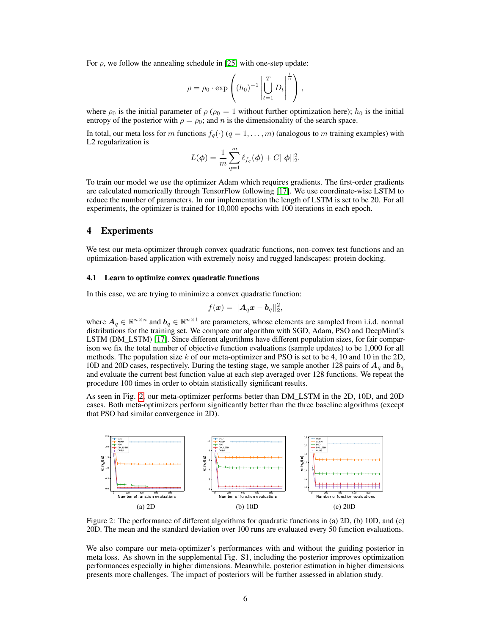For  $\rho$ , we follow the annealing schedule in [25] with one-step update:

$$
\rho = \rho_0 \cdot \exp\left( (h_0)^{-1} \left| \bigcup_{t=1}^T D_t \right|^{\frac{1}{n}} \right),\,
$$

where  $\rho_0$  is the initial parameter of  $\rho$  ( $\rho_0 = 1$  without further optimization here);  $h_0$  is the initial entropy of the posterior with  $\rho = \rho_0$ ; and n is the dimensionality of the search space.

In total, our meta loss for m functions  $f_q(\cdot)$   $(q = 1, \ldots, m)$  (analogous to m training examples) with L2 regularization is

$$
L(\phi) = \frac{1}{m} \sum_{q=1}^{m} \ell_{f_q}(\phi) + C ||\phi||_2^2.
$$

To train our model we use the optimizer Adam which requires gradients. The first-order gradients are calculated numerically through TensorFlow following [17]. We use coordinate-wise LSTM to reduce the number of parameters. In our implementation the length of LSTM is set to be 20. For all experiments, the optimizer is trained for 10,000 epochs with 100 iterations in each epoch.

## 4 Experiments

We test our meta-optimizer through convex quadratic functions, non-convex test functions and an optimization-based application with extremely noisy and rugged landscapes: protein docking.

## 4.1 Learn to optimize convex quadratic functions

In this case, we are trying to minimize a convex quadratic function:

$$
f(\boldsymbol{x}) = ||\boldsymbol{A}_q \boldsymbol{x} - \boldsymbol{b}_q||_2^2,
$$

where  $A_q \in \mathbb{R}^{n \times n}$  and  $b_q \in \mathbb{R}^{n \times 1}$  are parameters, whose elements are sampled from i.i.d. normal distributions for the training set. We compare our algorithm with SGD, Adam, PSO and DeepMind's LSTM (DM\_LSTM) [17]. Since different algorithms have different population sizes, for fair comparison we fix the total number of objective function evaluations (sample updates) to be 1,000 for all methods. The population size  $k$  of our meta-optimizer and PSO is set to be 4, 10 and 10 in the 2D, 10D and 20D cases, respectively. During the testing stage, we sample another 128 pairs of  $A_q$  and  $b_q$ and evaluate the current best function value at each step averaged over 128 functions. We repeat the procedure 100 times in order to obtain statistically significant results.

As seen in Fig. 2, our meta-optimizer performs better than DM\_LSTM in the 2D, 10D, and 20D cases. Both meta-optimizers perform significantly better than the three baseline algorithms (except that PSO had similar convergence in 2D).



Figure 2: The performance of different algorithms for quadratic functions in (a) 2D, (b) 10D, and (c) 20D. The mean and the standard deviation over 100 runs are evaluated every 50 function evaluations.

We also compare our meta-optimizer's performances with and without the guiding posterior in meta loss. As shown in the supplemental Fig. S1, including the posterior improves optimization performances especially in higher dimensions. Meanwhile, posterior estimation in higher dimensions presents more challenges. The impact of posteriors will be further assessed in ablation study.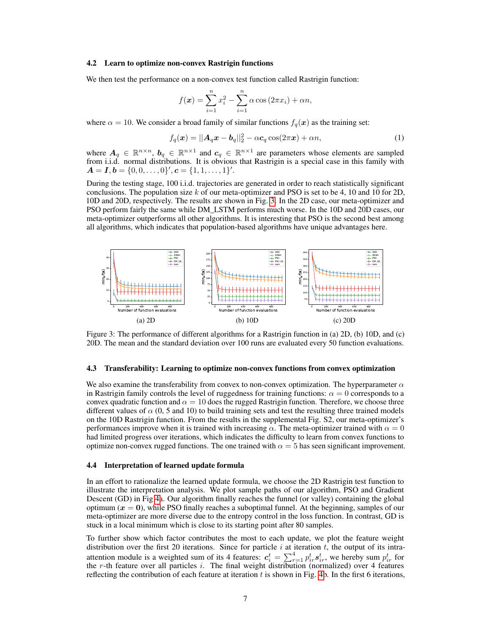#### 4.2 Learn to optimize non-convex Rastrigin functions

We then test the performance on a non-convex test function called Rastrigin function:

$$
f(\mathbf{x}) = \sum_{i=1}^{n} x_i^2 - \sum_{i=1}^{n} \alpha \cos(2\pi x_i) + \alpha n,
$$

where  $\alpha = 10$ . We consider a broad family of similar functions  $f_q(x)$  as the training set:

$$
f_q(\boldsymbol{x}) = ||\boldsymbol{A}_q \boldsymbol{x} - \boldsymbol{b}_q||_2^2 - \alpha \boldsymbol{c}_q \cos(2\pi \boldsymbol{x}) + \alpha n,\tag{1}
$$

where  $A_q \in \mathbb{R}^{n \times n}$ ,  $b_q \in \mathbb{R}^{n \times 1}$  and  $c_q \in \mathbb{R}^{n \times 1}$  are parameters whose elements are sampled from i.i.d. normal distributions. It is obvious that Rastrigin is a special case in this family with  $A = I, b = \{0, 0, \ldots, 0\}', c = \{1, 1, \ldots, 1\}'.$ 

During the testing stage, 100 i.i.d. trajectories are generated in order to reach statistically significant conclusions. The population size k of our meta-optimizer and PSO is set to be 4, 10 and 10 for 2D, 10D and 20D, respectively. The results are shown in Fig. 3. In the 2D case, our meta-optimizer and PSO perform fairly the same while DM\_LSTM performs much worse. In the 10D and 20D cases, our meta-optimizer outperforms all other algorithms. It is interesting that PSO is the second best among all algorithms, which indicates that population-based algorithms have unique advantages here.



Figure 3: The performance of different algorithms for a Rastrigin function in (a) 2D, (b) 10D, and (c) 20D. The mean and the standard deviation over 100 runs are evaluated every 50 function evaluations.

## 4.3 Transferability: Learning to optimize non-convex functions from convex optimization

We also examine the transferability from convex to non-convex optimization. The hyperparameter  $\alpha$ in Rastrigin family controls the level of ruggedness for training functions:  $\alpha = 0$  corresponds to a convex quadratic function and  $\alpha = 10$  does the rugged Rastrigin function. Therefore, we choose three different values of  $\alpha$  (0, 5 and 10) to build training sets and test the resulting three trained models on the 10D Rastrigin function. From the results in the supplemental Fig. S2, our meta-optimizer's performances improve when it is trained with increasing  $\alpha$ . The meta-optimizer trained with  $\alpha = 0$ had limited progress over iterations, which indicates the difficulty to learn from convex functions to optimize non-convex rugged functions. The one trained with  $\alpha = 5$  has seen significant improvement.

#### 4.4 Interpretation of learned update formula

In an effort to rationalize the learned update formula, we choose the 2D Rastrigin test function to illustrate the interpretation analysis. We plot sample paths of our algorithm, PSO and Gradient Descent (GD) in Fig 4a. Our algorithm finally reaches the funnel (or valley) containing the global optimum  $(x = 0)$ , while PSO finally reaches a suboptimal funnel. At the beginning, samples of our meta-optimizer are more diverse due to the entropy control in the loss function. In contrast, GD is stuck in a local minimum which is close to its starting point after 80 samples.

To further show which factor contributes the most to each update, we plot the feature weight distribution over the first 20 iterations. Since for particle  $i$  at iteration  $t$ , the output of its intraattention module is a weighted sum of its 4 features:  $c_i^t = \sum_{r=1}^4 p_{ir}^t s_{ir}^t$ , we hereby sum  $p_{ir}^t$  for the r-th feature over all particles i. The final weight distribution (normalized) over 4 features reflecting the contribution of each feature at iteration  $t$  is shown in Fig. 4b. In the first 6 iterations,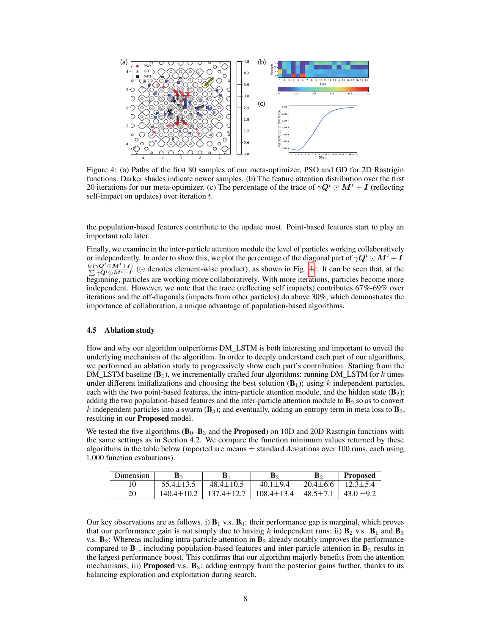

Figure 4: (a) Paths of the first 80 samples of our meta-optimizer, PSO and GD for 2D Rastrigin functions. Darker shades indicate newer samples. (b) The feature attention distribution over the first 20 iterations for our meta-optimizer. (c) The percentage of the trace of  $\gamma \mathbf{Q}^t \odot \mathbf{M}^t + \mathbf{I}$  (reflecting self-impact on updates) over iteration  $t$ .

the population-based features contribute to the update most. Point-based features start to play an important role later.

Finally, we examine in the inter-particle attention module the level of particles working collaboratively or independently. In order to show this, we plot the percentage of the diagonal part of  $\gamma \mathbf{Q}^t \odot \mathbf{M}^t + \mathbf{I}$ :  $\frac{{\rm tr}(\gamma\boldsymbol{Q}^{t} \odot \boldsymbol{M}^{t} + \boldsymbol{I})}{\sum \gamma \boldsymbol{Q}^{t} \odot \boldsymbol{M}^{t} + \boldsymbol{I}}$  $\frac{\gamma Q^t \odot M^t + I}{\gamma Q^t \odot M^t + I}$  ( $\odot$  denotes element-wise product), as shown in Fig. 4c. It can be seen that, at the beginning, particles are working more collaboratively. With more iterations, particles become more independent. However, we note that the trace (reflecting self impacts) contributes 67%-69% over iterations and the off-diagonals (impacts from other particles) do above 30%, which demonstrates the importance of collaboration, a unique advantage of population-based algorithms.

## 4.5 Ablation study

How and why our algorithm outperforms DM\_LSTM is both interesting and important to unveil the underlying mechanism of the algorithm. In order to deeply understand each part of our algorithms, we performed an ablation study to progressively show each part's contribution. Starting from the DM\_LSTM baseline  $(B_0)$ , we incrementally crafted four algorithms: running DM\_LSTM for k times under different initializations and choosing the best solution  $(B_1)$ ; using k independent particles, each with the two point-based features, the intra-particle attention module, and the hidden state  $(B_2)$ ; adding the two population-based features and the inter-particle attention module to  $B<sub>2</sub>$  so as to convert k independent particles into a swarm  $(B_3)$ ; and eventually, adding an entropy term in meta loss to  $B_3$ , resulting in our Proposed model.

We tested the five algorithms  $(B_0 - B_3$  and the **Proposed**) on 10D and 20D Rastrigin functions with the same settings as in Section 4.2. We compare the function minimum values returned by these algorithms in the table below (reported are means  $\pm$  standard deviations over 100 runs, each using 1,000 function evaluations).

| Dimension | B7               |                  | B›               | B2             | <b>Proposed</b> |
|-----------|------------------|------------------|------------------|----------------|-----------------|
| 10        | 55.4±13.5        | $48.4 \pm 10.5$  | $40.1 + 9.4$     | $20.4 \pm 6.6$ | $12.3 \pm 5.4$  |
| 20        | $140.4 \pm 10.2$ | $137.4 \pm 12.7$ | $108.4 \pm 13.4$ | $48.5 \pm 7.1$ | $43.0 \pm 9.2$  |

Our key observations are as follows. i)  $B_1$  v.s.  $B_0$ : their performance gap is marginal, which proves that our performance gain is not simply due to having k independent runs; ii)  $\mathbf{B}_2$  v.s.  $\mathbf{B}_1$  and  $\mathbf{B}_3$ v.s.  $B_2$ : Whereas including intra-particle attention in  $B_2$  already notably improves the performance compared to  $\mathbf{B}_1$ , including population-based features and inter-particle attention in  $\mathbf{B}_3$  results in the largest performance boost. This confirms that our algorithm majorly benefits from the attention mechanisms; iii) **Proposed** v.s.  $\mathbf{B}_3$ : adding entropy from the posterior gains further, thanks to its balancing exploration and exploitation during search.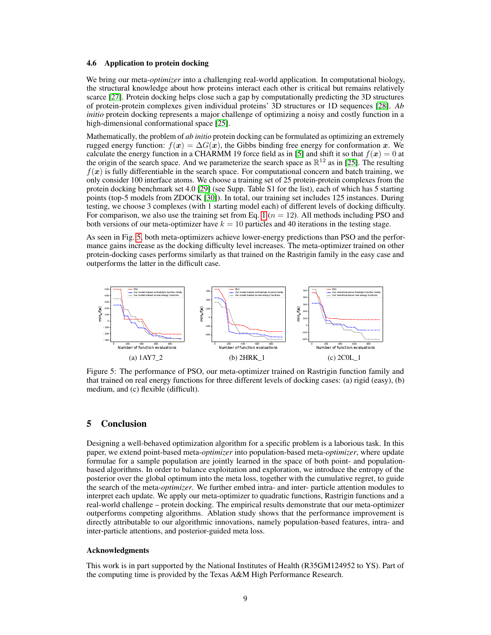## 4.6 Application to protein docking

We bring our meta-*optimizer* into a challenging real-world application. In computational biology, the structural knowledge about how proteins interact each other is critical but remains relatively scarce [27]. Protein docking helps close such a gap by computationally predicting the 3D structures of protein-protein complexes given individual proteins' 3D structures or 1D sequences [28]. *Ab initio* protein docking represents a major challenge of optimizing a noisy and costly function in a high-dimensional conformational space [25].

Mathematically, the problem of *ab initio* protein docking can be formulated as optimizing an extremely rugged energy function:  $f(x) = \Delta G(x)$ , the Gibbs binding free energy for conformation x. We calculate the energy function in a CHARMM 19 force field as in [5] and shift it so that  $f(x) = 0$  at the origin of the search space. And we parameterize the search space as  $\mathbb{R}^{12}$  as in [25]. The resulting  $f(x)$  is fully differentiable in the search space. For computational concern and batch training, we only consider 100 interface atoms. We choose a training set of 25 protein-protein complexes from the protein docking benchmark set 4.0 [29] (see Supp. Table S1 for the list), each of which has 5 starting points (top-5 models from ZDOCK [30]). In total, our training set includes 125 instances. During testing, we choose 3 complexes (with 1 starting model each) of different levels of docking difficulty. For comparison, we also use the training set from Eq. 1 ( $n = 12$ ). All methods including PSO and both versions of our meta-optimizer have  $k = 10$  particles and 40 iterations in the testing stage.

As seen in Fig. 5, both meta-optimizers achieve lower-energy predictions than PSO and the performance gains increase as the docking difficulty level increases. The meta-optimizer trained on other protein-docking cases performs similarly as that trained on the Rastrigin family in the easy case and outperforms the latter in the difficult case.



Figure 5: The performance of PSO, our meta-optimizer trained on Rastrigin function family and that trained on real energy functions for three different levels of docking cases: (a) rigid (easy), (b) medium, and (c) flexible (difficult).

# 5 Conclusion

Designing a well-behaved optimization algorithm for a specific problem is a laborious task. In this paper, we extend point-based meta-*optimizer* into population-based meta-*optimizer*, where update formulae for a sample population are jointly learned in the space of both point- and populationbased algorithms. In order to balance exploitation and exploration, we introduce the entropy of the posterior over the global optimum into the meta loss, together with the cumulative regret, to guide the search of the meta-*optimizer*. We further embed intra- and inter- particle attention modules to interpret each update. We apply our meta-optimizer to quadratic functions, Rastrigin functions and a real-world challenge – protein docking. The empirical results demonstrate that our meta-optimizer outperforms competing algorithms. Ablation study shows that the performance improvement is directly attributable to our algorithmic innovations, namely population-based features, intra- and inter-particle attentions, and posterior-guided meta loss.

## Acknowledgments

This work is in part supported by the National Institutes of Health (R35GM124952 to YS). Part of the computing time is provided by the Texas A&M High Performance Research.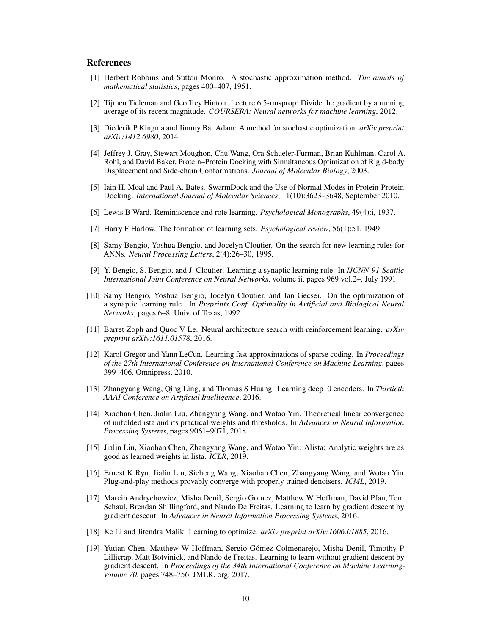## References

- [1] Herbert Robbins and Sutton Monro. A stochastic approximation method. *The annals of mathematical statistics*, pages 400–407, 1951.
- [2] Tijmen Tieleman and Geoffrey Hinton. Lecture 6.5-rmsprop: Divide the gradient by a running average of its recent magnitude. *COURSERA: Neural networks for machine learning*, 2012.
- [3] Diederik P Kingma and Jimmy Ba. Adam: A method for stochastic optimization. *arXiv preprint arXiv:1412.6980*, 2014.
- [4] Jeffrey J. Gray, Stewart Moughon, Chu Wang, Ora Schueler-Furman, Brian Kuhlman, Carol A. Rohl, and David Baker. Protein–Protein Docking with Simultaneous Optimization of Rigid-body Displacement and Side-chain Conformations. *Journal of Molecular Biology*, 2003.
- [5] Iain H. Moal and Paul A. Bates. SwarmDock and the Use of Normal Modes in Protein-Protein Docking. *International Journal of Molecular Sciences*, 11(10):3623–3648, September 2010.
- [6] Lewis B Ward. Reminiscence and rote learning. *Psychological Monographs*, 49(4):i, 1937.
- [7] Harry F Harlow. The formation of learning sets. *Psychological review*, 56(1):51, 1949.
- [8] Samy Bengio, Yoshua Bengio, and Jocelyn Cloutier. On the search for new learning rules for ANNs. *Neural Processing Letters*, 2(4):26–30, 1995.
- [9] Y. Bengio, S. Bengio, and J. Cloutier. Learning a synaptic learning rule. In *IJCNN-91-Seattle International Joint Conference on Neural Networks*, volume ii, pages 969 vol.2–, July 1991.
- [10] Samy Bengio, Yoshua Bengio, Jocelyn Cloutier, and Jan Gecsei. On the optimization of a synaptic learning rule. In *Preprints Conf. Optimality in Artificial and Biological Neural Networks*, pages 6–8. Univ. of Texas, 1992.
- [11] Barret Zoph and Quoc V Le. Neural architecture search with reinforcement learning. *arXiv preprint arXiv:1611.01578*, 2016.
- [12] Karol Gregor and Yann LeCun. Learning fast approximations of sparse coding. In *Proceedings of the 27th International Conference on International Conference on Machine Learning*, pages 399–406. Omnipress, 2010.
- [13] Zhangyang Wang, Qing Ling, and Thomas S Huang. Learning deep 0 encoders. In *Thirtieth AAAI Conference on Artificial Intelligence*, 2016.
- [14] Xiaohan Chen, Jialin Liu, Zhangyang Wang, and Wotao Yin. Theoretical linear convergence of unfolded ista and its practical weights and thresholds. In *Advances in Neural Information Processing Systems*, pages 9061–9071, 2018.
- [15] Jialin Liu, Xiaohan Chen, Zhangyang Wang, and Wotao Yin. Alista: Analytic weights are as good as learned weights in lista. *ICLR*, 2019.
- [16] Ernest K Ryu, Jialin Liu, Sicheng Wang, Xiaohan Chen, Zhangyang Wang, and Wotao Yin. Plug-and-play methods provably converge with properly trained denoisers. *ICML*, 2019.
- [17] Marcin Andrychowicz, Misha Denil, Sergio Gomez, Matthew W Hoffman, David Pfau, Tom Schaul, Brendan Shillingford, and Nando De Freitas. Learning to learn by gradient descent by gradient descent. In *Advances in Neural Information Processing Systems*, 2016.
- [18] Ke Li and Jitendra Malik. Learning to optimize. *arXiv preprint arXiv:1606.01885*, 2016.
- [19] Yutian Chen, Matthew W Hoffman, Sergio Gómez Colmenarejo, Misha Denil, Timothy P Lillicrap, Matt Botvinick, and Nando de Freitas. Learning to learn without gradient descent by gradient descent. In *Proceedings of the 34th International Conference on Machine Learning-Volume 70*, pages 748–756. JMLR. org, 2017.